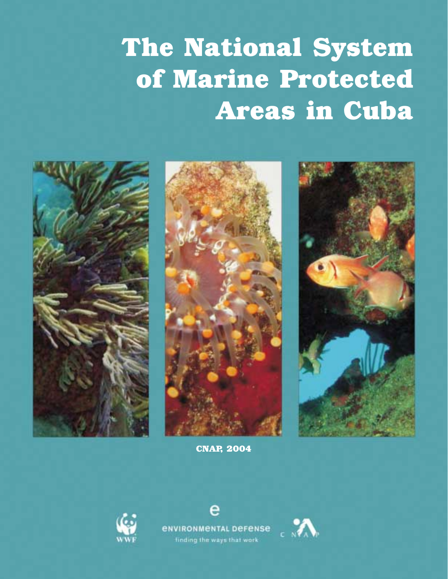# **The National System of Marine Protected Areas in Cuba**







**CNAP, 2004**





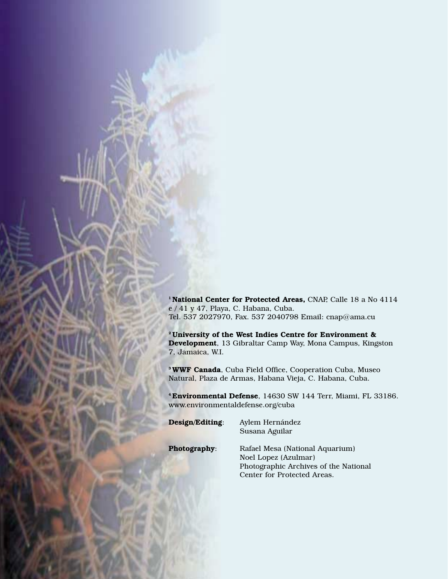<sup>1</sup> National Center for Protected Areas, CNAP, Calle 18 a No 4114 e / 41 y 47, Playa, C. Habana, Cuba. Tel. 537 2027970, Fax. 537 2040798 Email: cnap@ama.cu

2 University of the West Indies Centre for Environment & Development, 13 Gibraltar Camp Way, Mona Campus, Kingston 7, Jamaica, W.I.

<sup>3</sup> WWF Canada, Cuba Field Office, Cooperation Cuba, Museo Natural, Plaza de Armas, Habana Vieja, C. Habana, Cuba.

4 Environmental Defense, 14630 SW 144 Terr, Miami, FL 33186. www.environmentaldefense.org/cuba

Design/Editing: Aylem Hernández Susana Aguilar

Photography: Rafael Mesa (National Aquarium) Noel Lopez (Azulmar) Photographic Archives of the National Center for Protected Areas.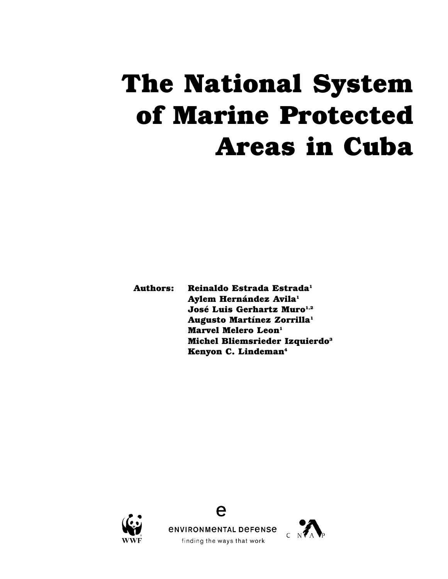# **The National System of Marine Protected Areas in Cuba**

**Authors: Reinaldo Estrada Estrada1** Aylem Hernández Avila<sup>1</sup> **José Luis Gerhartz Muro<sup>1,2</sup> Augusto Martínez Zorrilla1 Marvel Melero Leon1 Michel Bliemsrieder Izquierdo3 Kenyon C. Lindeman4**





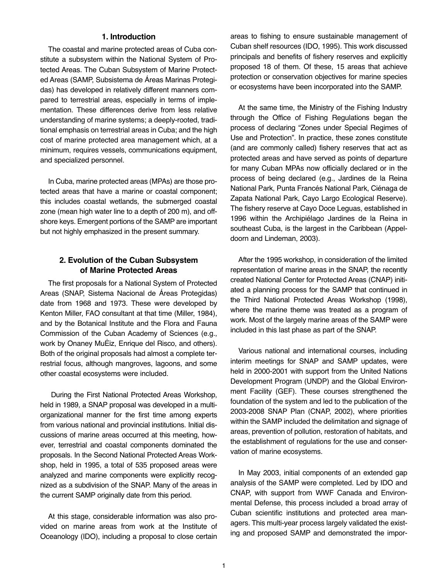#### **1. Introduction**

The coastal and marine protected areas of Cuba constitute a subsystem within the National System of Protected Areas. The Cuban Subsystem of Marine Protected Areas (SAMP, Subsistema de Áreas Marinas Protegidas) has developed in relatively different manners compared to terrestrial areas, especially in terms of implementation. These differences derive from less relative understanding of marine systems; a deeply-rooted, traditional emphasis on terrestrial areas in Cuba; and the high cost of marine protected area management which, at a minimum, requires vessels, communications equipment, and specialized personnel.

In Cuba, marine protected areas (MPAs) are those protected areas that have a marine or coastal component; this includes coastal wetlands, the submerged coastal zone (mean high water line to a depth of 200 m), and offshore keys. Emergent portions of the SAMP are important but not highly emphasized in the present summary.

#### **2. Evolution of the Cuban Subsystem of Marine Protected Areas**

The first proposals for a National System of Protected Areas (SNAP, Sistema Nacional de Áreas Protegidas) date from 1968 and 1973. These were developed by Kenton Miller, FAO consultant at that time (Miller, 1984), and by the Botanical Institute and the Flora and Fauna Commission of the Cuban Academy of Sciences (e.g., work by Onaney MuĖiz, Enrique del Risco, and others). Both of the original proposals had almost a complete terrestrial focus, although mangroves, lagoons, and some other coastal ecosystems were included.

During the First National Protected Areas Workshop, held in 1989, a SNAP proposal was developed in a multiorganizational manner for the first time among experts from various national and provincial institutions. Initial discussions of marine areas occurred at this meeting, however, terrestrial and coastal components dominated the proposals. In the Second National Protected Areas Workshop, held in 1995, a total of 535 proposed areas were analyzed and marine components were explicitly recognized as a subdivision of the SNAP. Many of the areas in the current SAMP originally date from this period.

At this stage, considerable information was also provided on marine areas from work at the Institute of Oceanology (IDO), including a proposal to close certain areas to fishing to ensure sustainable management of Cuban shelf resources (IDO, 1995). This work discussed principals and benefits of fishery reserves and explicitly proposed 18 of them. Of these, 15 areas that achieve protection or conservation objectives for marine species or ecosystems have been incorporated into the SAMP.

At the same time, the Ministry of the Fishing Industry through the Office of Fishing Regulations began the process of declaring "Zones under Special Regimes of Use and Protection". In practice, these zones constitute (and are commonly called) fishery reserves that act as protected areas and have served as points of departure for many Cuban MPAs now officially declared or in the process of being declared (e.g., Jardines de la Reina National Park, Punta Francés National Park, Ciénaga de Zapata National Park, Cayo Largo Ecological Reserve). The fishery reserve at Cayo Doce Leguas, established in 1996 within the Archipiélago Jardines de la Reina in southeast Cuba, is the largest in the Caribbean (Appeldoorn and Lindeman, 2003).

After the 1995 workshop, in consideration of the limited representation of marine areas in the SNAP, the recently created National Center for Protected Areas (CNAP) initiated a planning process for the SAMP that continued in the Third National Protected Areas Workshop (1998), where the marine theme was treated as a program of work. Most of the largely marine areas of the SAMP were included in this last phase as part of the SNAP.

Various national and international courses, including interim meetings for SNAP and SAMP updates, were held in 2000-2001 with support from the United Nations Development Program (UNDP) and the Global Environment Facility (GEF). These courses strengthened the foundation of the system and led to the publication of the 2003-2008 SNAP Plan (CNAP, 2002), where priorities within the SAMP included the delimitation and signage of areas, prevention of pollution, restoration of habitats, and the establishment of regulations for the use and conservation of marine ecosystems.

In May 2003, initial components of an extended gap analysis of the SAMP were completed. Led by IDO and CNAP, with support from WWF Canada and Environmental Defense, this process included a broad array of Cuban scientific institutions and protected area managers. This multi-year process largely validated the existing and proposed SAMP and demonstrated the impor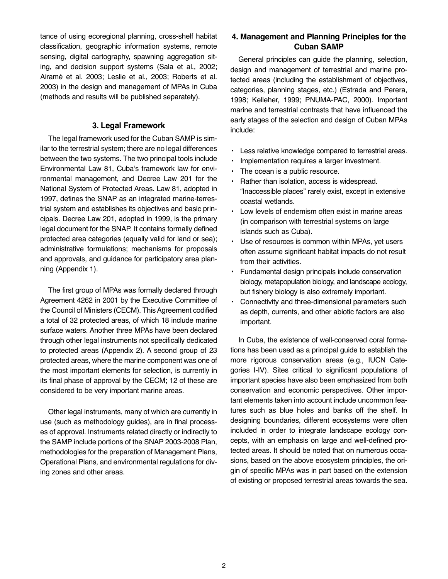tance of using ecoregional planning, cross-shelf habitat classification, geographic information systems, remote sensing, digital cartography, spawning aggregation siting, and decision support systems (Sala et al., 2002; Airamé et al. 2003; Leslie et al., 2003; Roberts et al. 2003) in the design and management of MPAs in Cuba (methods and results will be published separately).

#### **3. Legal Framework**

The legal framework used for the Cuban SAMP is similar to the terrestrial system; there are no legal differences between the two systems. The two principal tools include Environmental Law 81, Cuba's framework law for environmental management, and Decree Law 201 for the National System of Protected Areas. Law 81, adopted in 1997, defines the SNAP as an integrated marine-terrestrial system and establishes its objectives and basic principals. Decree Law 201, adopted in 1999, is the primary legal document for the SNAP. It contains formally defined protected area categories (equally valid for land or sea); administrative formulations; mechanisms for proposals and approvals, and guidance for participatory area planning (Appendix 1).

The first group of MPAs was formally declared through Agreement 4262 in 2001 by the Executive Committee of the Council of Ministers (CECM). This Agreement codified a total of 32 protected areas, of which 18 include marine surface waters. Another three MPAs have been declared through other legal instruments not specifically dedicated to protected areas (Appendix 2). A second group of 23 protected areas, where the marine component was one of the most important elements for selection, is currently in its final phase of approval by the CECM; 12 of these are considered to be very important marine areas.

Other legal instruments, many of which are currently in use (such as methodology guides), are in final processes of approval. Instruments related directly or indirectly to the SAMP include portions of the SNAP 2003-2008 Plan, methodologies for the preparation of Management Plans, Operational Plans, and environmental regulations for diving zones and other areas.

#### **4. Management and Planning Principles for the Cuban SAMP**

General principles can guide the planning, selection, design and management of terrestrial and marine protected areas (including the establishment of objectives, categories, planning stages, etc.) (Estrada and Perera, 1998; Kelleher, 1999; PNUMA-PAC, 2000). Important marine and terrestrial contrasts that have influenced the early stages of the selection and design of Cuban MPAs include:

- Less relative knowledge compared to terrestrial areas.
- Implementation requires a larger investment.
- The ocean is a public resource.
- Rather than isolation, access is widespread. "Inaccessible places" rarely exist, except in extensive coastal wetlands.
- Low levels of endemism often exist in marine areas (in comparison with terrestrial systems on large islands such as Cuba).
- Use of resources is common within MPAs, yet users often assume significant habitat impacts do not result from their activities.
- Fundamental design principals include conservation biology, metapopulation biology, and landscape ecology, but fishery biology is also extremely important.
- Connectivity and three-dimensional parameters such as depth, currents, and other abiotic factors are also important.

In Cuba, the existence of well-conserved coral formations has been used as a principal guide to establish the more rigorous conservation areas (e.g., IUCN Categories I-IV). Sites critical to significant populations of important species have also been emphasized from both conservation and economic perspectives. Other important elements taken into account include uncommon features such as blue holes and banks off the shelf. In designing boundaries, different ecosystems were often included in order to integrate landscape ecology concepts, with an emphasis on large and well-defined protected areas. It should be noted that on numerous occasions, based on the above ecosystem principles, the origin of specific MPAs was in part based on the extension of existing or proposed terrestrial areas towards the sea.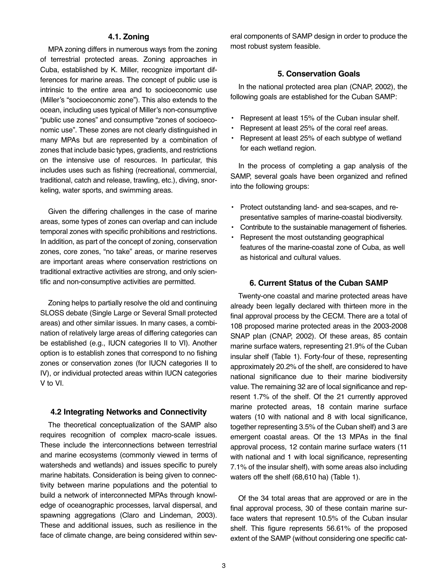#### **4.1. Zoning**

MPA zoning differs in numerous ways from the zoning of terrestrial protected areas. Zoning approaches in Cuba, established by K. Miller, recognize important differences for marine areas. The concept of public use is intrinsic to the entire area and to socioeconomic use (Miller's "socioeconomic zone"). This also extends to the ocean, including uses typical of Miller's non-consumptive "public use zones" and consumptive "zones of socioeconomic use". These zones are not clearly distinguished in many MPAs but are represented by a combination of zones that include basic types, gradients, and restrictions on the intensive use of resources. In particular, this includes uses such as fishing (recreational, commercial, traditional, catch and release, trawling, etc.), diving, snorkeling, water sports, and swimming areas.

Given the differing challenges in the case of marine areas, some types of zones can overlap and can include temporal zones with specific prohibitions and restrictions. In addition, as part of the concept of zoning, conservation zones, core zones, "no take" areas, or marine reserves are important areas where conservation restrictions on traditional extractive activities are strong, and only scientific and non-consumptive activities are permitted.

Zoning helps to partially resolve the old and continuing SLOSS debate (Single Large or Several Small protected areas) and other similar issues. In many cases, a combination of relatively large areas of differing categories can be established (e.g., IUCN categories II to VI). Another option is to establish zones that correspond to no fishing zones or conservation zones (for IUCN categories II to IV), or individual protected areas within IUCN categories V to VI.

#### **4.2 Integrating Networks and Connectivity**

The theoretical conceptualization of the SAMP also requires recognition of complex macro-scale issues. These include the interconnections between terrestrial and marine ecosystems (commonly viewed in terms of watersheds and wetlands) and issues specific to purely marine habitats. Consideration is being given to connectivity between marine populations and the potential to build a network of interconnected MPAs through knowledge of oceanographic processes, larval dispersal, and spawning aggregations (Claro and Lindeman, 2003). These and additional issues, such as resilience in the face of climate change, are being considered within several components of SAMP design in order to produce the most robust system feasible.

#### **5. Conservation Goals**

In the national protected area plan (CNAP, 2002), the following goals are established for the Cuban SAMP:

- Represent at least 15% of the Cuban insular shelf.
- Represent at least 25% of the coral reef areas.
- Represent at least 25% of each subtype of wetland for each wetland region.

In the process of completing a gap analysis of the SAMP, several goals have been organized and refined into the following groups:

- Protect outstanding land- and sea-scapes, and representative samples of marine-coastal biodiversity.
- Contribute to the sustainable management of fisheries.
- Represent the most outstanding geographical features of the marine-coastal zone of Cuba, as well as historical and cultural values.

#### **6. Current Status of the Cuban SAMP**

Twenty-one coastal and marine protected areas have already been legally declared with thirteen more in the final approval process by the CECM. There are a total of 108 proposed marine protected areas in the 2003-2008 SNAP plan (CNAP, 2002). Of these areas, 85 contain marine surface waters, representing 21.9% of the Cuban insular shelf (Table 1). Forty-four of these, representing approximately 20.2% of the shelf, are considered to have national significance due to their marine biodiversity value. The remaining 32 are of local significance and represent 1.7% of the shelf. Of the 21 currently approved marine protected areas, 18 contain marine surface waters (10 with national and 8 with local significance, together representing 3.5% of the Cuban shelf) and 3 are emergent coastal areas. Of the 13 MPAs in the final approval process, 12 contain marine surface waters (11 with national and 1 with local significance, representing 7.1% of the insular shelf), with some areas also including waters off the shelf (68,610 ha) (Table 1).

Of the 34 total areas that are approved or are in the final approval process, 30 of these contain marine surface waters that represent 10.5% of the Cuban insular shelf. This figure represents 56.61% of the proposed extent of the SAMP (without considering one specific cat-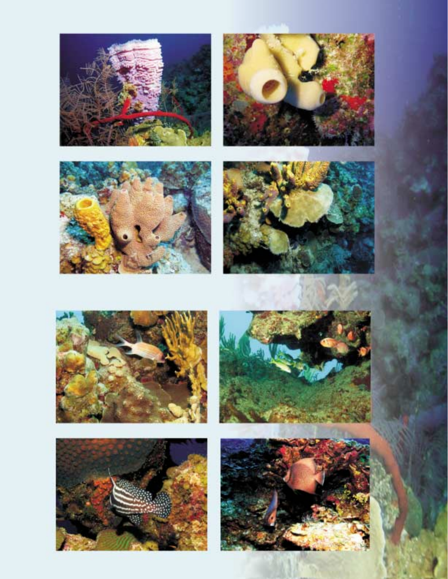













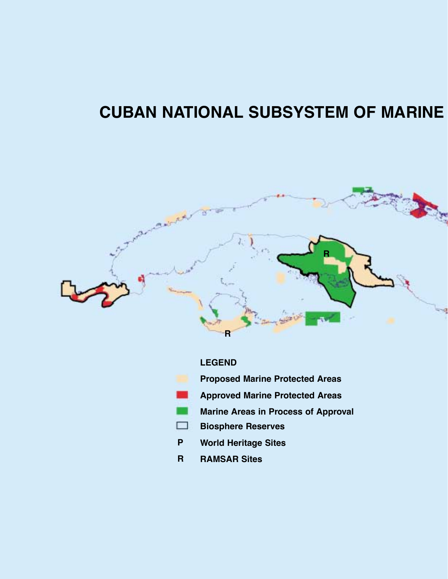## **CUBAN NATIONAL SUBSYSTEM OF MARINE**



### **LEGEND**

- **Proposed Marine Protected Areas**
- **Approved Marine Protected Areas**
- **Marine Areas in Process of Approval**
- **Biosphere Reserves**  $\Box$
- **World Heritage Sites P**
- **RAMSAR Sites R**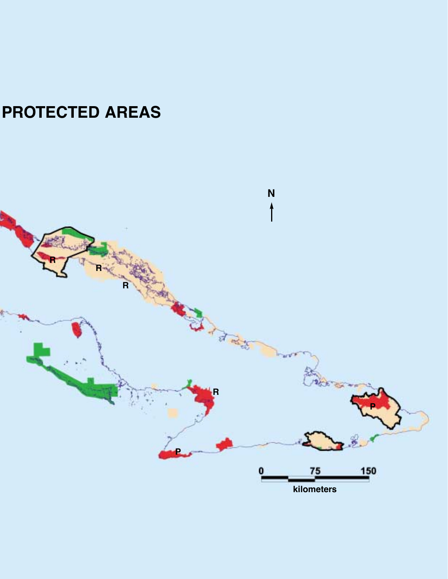## **PROTECTED AREAS**

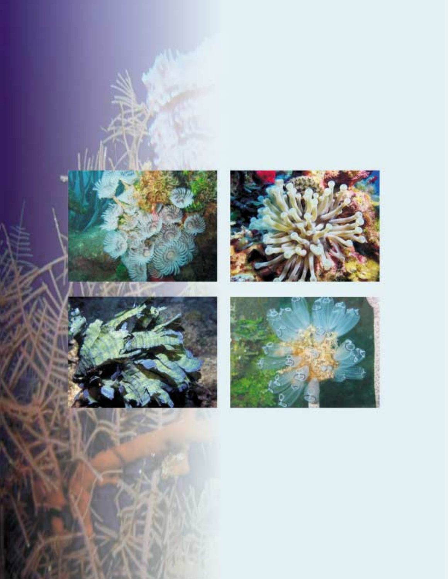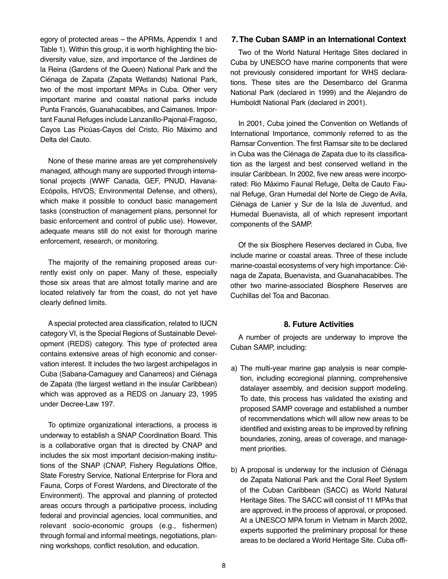egory of protected areas – the APRMs, Appendix 1 and Table 1). Within this group, it is worth highlighting the biodiversity value, size, and importance of the Jardines de la Reina (Gardens of the Queen) National Park and the Ciénaga de Zapata (Zapata Wetlands) National Park, two of the most important MPAs in Cuba. Other very important marine and coastal national parks include Punta Francés, Guanahacabibes, and Caimanes. Important Faunal Refuges include Lanzanillo-Pajonal-Fragoso, Cayos Las Picúas-Cayos del Cristo, Río Máximo and Delta del Cauto.

None of these marine areas are yet comprehensively managed, although many are supported through international projects (WWF Canada, GEF, PNUD, Havana-Ecópolis, HIVOS, Environmental Defense, and others), which make it possible to conduct basic management tasks (construction of management plans, personnel for basic enforcement and control of public use). However, adequate means still do not exist for thorough marine enforcement, research, or monitoring.

The majority of the remaining proposed areas currently exist only on paper. Many of these, especially those six areas that are almost totally marine and are located relatively far from the coast, do not yet have clearly defined limits.

A special protected area classification, related to IUCN category VI, is the Special Regions of Sustainable Development (REDS) category. This type of protected area contains extensive areas of high economic and conservation interest. It includes the two largest archipelagos in Cuba (Sabana-Camaguey and Canarreos) and Ciénaga de Zapata (the largest wetland in the insular Caribbean) which was approved as a REDS on January 23, 1995 under Decree-Law 197.

To optimize organizational interactions, a process is underway to establish a SNAP Coordination Board. This is a collaborative organ that is directed by CNAP and includes the six most important decision-making institutions of the SNAP (CNAP, Fishery Regulations Office, State Forestry Service, National Enterprise for Flora and Fauna, Corps of Forest Wardens, and Directorate of the Environment). The approval and planning of protected areas occurs through a participative process, including federal and provincial agencies, local communities, and relevant socio-economic groups (e.g., fishermen) through formal and informal meetings, negotiations, planning workshops, conflict resolution, and education.

#### **7.The Cuban SAMP in an International Context**

Two of the World Natural Heritage Sites declared in Cuba by UNESCO have marine components that were not previously considered important for WHS declarations. These sites are the Desembarco del Granma National Park (declared in 1999) and the Alejandro de Humboldt National Park (declared in 2001).

In 2001, Cuba joined the Convention on Wetlands of International Importance, commonly referred to as the Ramsar Convention. The first Ramsar site to be declared in Cuba was the Ciénaga de Zapata due to its classification as the largest and best conserved wetland in the insular Caribbean. In 2002, five new areas were incorporated: Rio Máximo Faunal Refuge, Delta de Cauto Faunal Refuge, Gran Humedal del Norte de Ciego de Avila, Ciénaga de Lanier y Sur de la Isla de Juventud, and Humedal Buenavista, all of which represent important components of the SAMP.

Of the six Biosphere Reserves declared in Cuba, five include marine or coastal areas. Three of these include marine-coastal ecosystems of very high importance: Ciénaga de Zapata, Buenavista, and Guanahacabibes. The other two marine-associated Biosphere Reserves are Cuchillas del Toa and Baconao.

#### **8. Future Activities**

A number of projects are underway to improve the Cuban SAMP, including:

- a) The multi-year marine gap analysis is near completion, including ecoregional planning, comprehensive datalayer assembly, and decision support modeling. To date, this process has validated the existing and proposed SAMP coverage and established a number of recommendations which will allow new areas to be identified and existing areas to be improved by refining boundaries, zoning, areas of coverage, and management priorities.
- b) A proposal is underway for the inclusion of Ciénaga de Zapata National Park and the Coral Reef System of the Cuban Caribbean (SACC) as World Natural Heritage Sites. The SACC will consist of 11 MPAs that are approved, in the process of approval, or proposed. At a UNESCO MPA forum in Vietnam in March 2002, experts supported the preliminary proposal for these areas to be declared a World Heritage Site. Cuba offi-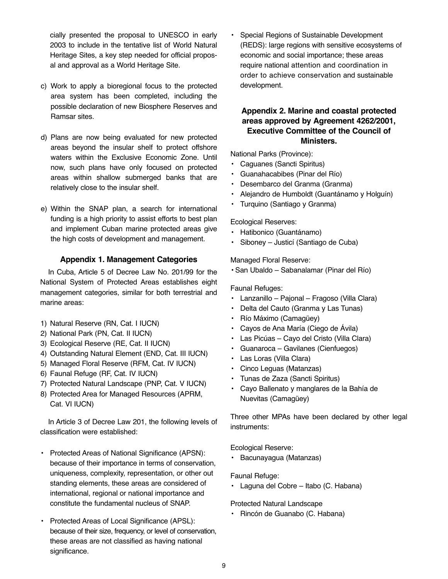cially presented the proposal to UNESCO in early 2003 to include in the tentative list of World Natural Heritage Sites, a key step needed for official proposal and approval as a World Heritage Site.

- c) Work to apply a bioregional focus to the protected area system has been completed, including the possible declaration of new Biosphere Reserves and Ramsar sites.
- d) Plans are now being evaluated for new protected areas beyond the insular shelf to protect offshore waters within the Exclusive Economic Zone. Until now, such plans have only focused on protected areas within shallow submerged banks that are relatively close to the insular shelf.
- e) Within the SNAP plan, a search for international funding is a high priority to assist efforts to best plan and implement Cuban marine protected areas give the high costs of development and management.

#### **Appendix 1. Management Categories**

In Cuba, Article 5 of Decree Law No. 201/99 for the National System of Protected Areas establishes eight management categories, similar for both terrestrial and marine areas:

- 1) Natural Reserve (RN, Cat. I IUCN)
- 2) National Park (PN, Cat. II IUCN)
- 3) Ecological Reserve (RE, Cat. II IUCN)
- 4) Outstanding Natural Element (END, Cat. III IUCN)
- 5) Managed Floral Reserve (RFM, Cat. IV IUCN)
- 6) Faunal Refuge (RF, Cat. IV IUCN)
- 7) Protected Natural Landscape (PNP, Cat. V IUCN)
- 8) Protected Area for Managed Resources (APRM, Cat. VI IUCN)

In Article 3 of Decree Law 201, the following levels of classification were established:

- Protected Areas of National Significance (APSN): because of their importance in terms of conservation, uniqueness, complexity, representation, or other out standing elements, these areas are considered of international, regional or national importance and constitute the fundamental nucleus of SNAP.
- Protected Areas of Local Significance (APSL): because of their size, frequency, or level of conservation, these areas are not classified as having national significance.

• Special Regions of Sustainable Development (REDS): large regions with sensitive ecosystems of economic and social importance; these areas require national attention and coordination in order to achieve conservation and sustainable development.

#### **Appendix 2. Marine and coastal protected areas approved by Agreement 4262/2001, Executive Committee of the Council of Ministers.**

National Parks (Province):

- Caguanes (Sancti Spiritus)
- Guanahacabibes (Pinar del Río)
- Desembarco del Granma (Granma)
- Alejandro de Humboldt (Guantánamo y Holguín)
- Turquino (Santiago y Granma)

Ecological Reserves:

- Hatibonico (Guantánamo)
- Siboney Justicí (Santiago de Cuba)

#### Managed Floral Reserve:

• San Ubaldo – Sabanalamar (Pinar del Río)

#### Faunal Refuges:

- Lanzanillo Pajonal Fragoso (Villa Clara)
- Delta del Cauto (Granma y Las Tunas)
- Río Máximo (Camagüey)
- Cayos de Ana María (Ciego de Ávila)
- Las Picúas Cayo del Cristo (Villa Clara)
- Guanaroca Gavilanes (Cienfuegos)
- Las Loras (Villa Clara)
- Cinco Leguas (Matanzas)
- Tunas de Zaza (Sancti Spiritus)
- Cayo Ballenato y manglares de la Bahía de Nuevitas (Camagüey)

Three other MPAs have been declared by other legal instruments:

Ecological Reserve:

• Bacunayagua (Matanzas)

#### Faunal Refuge:

• Laguna del Cobre – Itabo (C. Habana)

#### Protected Natural Landscape

• Rincón de Guanabo (C. Habana)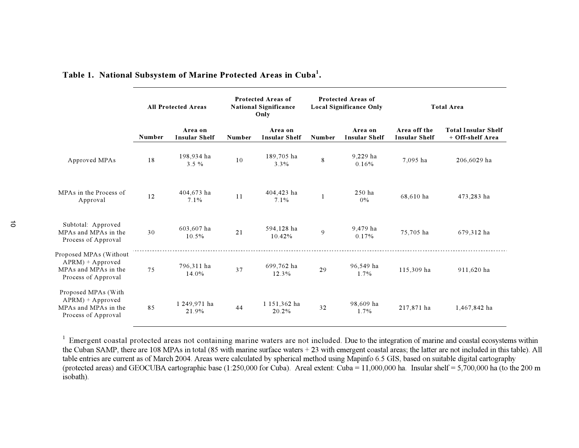|                                                                                            | <b>All Protected Areas</b> |                                 | <b>Protected Areas of</b><br><b>National Significance</b><br>Only |                                 | <b>Protected Areas of</b><br><b>Local Significance Only</b> |                                 | <b>Total Area</b>                    |                                                |
|--------------------------------------------------------------------------------------------|----------------------------|---------------------------------|-------------------------------------------------------------------|---------------------------------|-------------------------------------------------------------|---------------------------------|--------------------------------------|------------------------------------------------|
|                                                                                            | <b>Number</b>              | Area on<br><b>Insular Shelf</b> | Number                                                            | Area on<br><b>Insular Shelf</b> | <b>Number</b>                                               | Area on<br><b>Insular Shelf</b> | Area off the<br><b>Insular Shelf</b> | <b>Total Insular Shelf</b><br>+ Off-shelf Area |
| Approved MPAs                                                                              | 18                         | 198,934 ha<br>$3.5 \%$          | 10                                                                | 189,705 ha<br>3.3%              | 8                                                           | 9,229 ha<br>0.16%               | 7,095 ha                             | 206,6029 ha                                    |
| MPAs in the Process of<br>Approval                                                         | 12                         | 404,673 ha<br>7.1%              | 11                                                                | 404,423 ha<br>$7.1\%$           | 1                                                           | $250$ ha<br>$0\%$               | 68,610 ha                            | 473,283 ha                                     |
| Subtotal: Approved<br>MPAs and MPAs in the<br>Process of Approval                          | 30                         | 603,607 ha<br>10.5%             | 21                                                                | 594,128 ha<br>10.42%            | 9                                                           | 9,479 ha<br>0.17%               | 75,705 ha                            | 679,312 ha                                     |
| Proposed MPAs (Without<br>$APRM$ + Approved<br>MPAs and MPAs in the<br>Process of Approval | 75                         | 796,311 ha<br>14.0%             | 37                                                                | 699,762 ha<br>12.3%             | 29                                                          | 96,549 ha<br>1.7%               | 115,309 ha                           | 911,620 ha                                     |
| Proposed MPAs (With<br>$APRM$ + Approved<br>MPAs and MPAs in the<br>Process of Approval    | 85                         | 1 249,971 ha<br>21.9%           | 44                                                                | 1 151,362 ha<br>20.2%           | 32                                                          | 98,609 ha<br>1.7%               | 217,871 ha                           | 1,467,842 ha                                   |

#### **Table 1. National Subsystem of Marine Protected Areas in Cuba<sup>1</sup> .**

 $1$  Emergent coastal protected areas not containing marine waters are not included. Due to the integration of marine and coastal ecosystems within the Cuban SAMP, there are 108 MPAs in total (85 with marine surface waters <sup>+</sup> 23 with emergen<sup>t</sup> coastal areas; the latter are not included in this table). All table entries are current as of March 2004. Areas were calculated by spherical method using Mapinfo 6.5 GIS, based on suitable digital cartography (protected areas) and GEOCUBA cartographic base (1:250,000 for Cuba). Areal extent: Cuba = 11,000,000 ha. Insular shelf = 5,700,000 ha (to the 200 m isobath).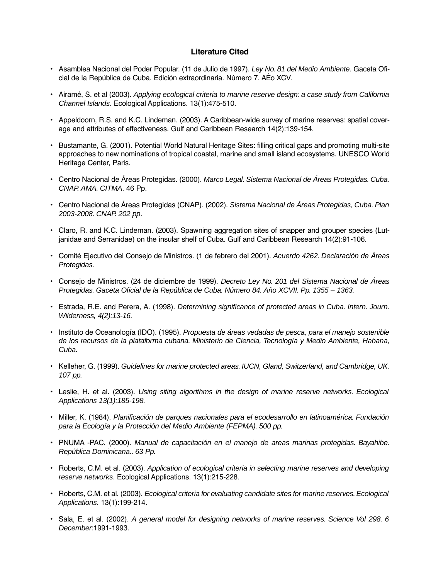#### **Literature Cited**

- Asamblea Nacional del Poder Popular. (11 de Julio de 1997). *Ley No. 81 del Medio Ambiente*. Gaceta Oficial de la República de Cuba. Edición extraordinaria. Número 7. AĖo XCV.
- Airamé, S. et al (2003). *Applying ecological criteria to marine reserve design: a case study from California Channel Islands*. Ecological Applications. 13(1):475-510.
- Appeldoorn, R.S. and K.C. Lindeman. (2003). A Caribbean-wide survey of marine reserves: spatial coverage and attributes of effectiveness. Gulf and Caribbean Research 14(2):139-154.
- Bustamante, G. (2001). Potential World Natural Heritage Sites: filling critical gaps and promoting multi-site approaches to new nominations of tropical coastal, marine and small island ecosystems. UNESCO World Heritage Center, Paris.
- Centro Nacional de Áreas Protegidas. (2000). *Marco Legal. Sistema Nacional de Áreas Protegidas. Cuba. CNAP. AMA. CITMA*. 46 Pp.
- Centro Nacional de Áreas Protegidas (CNAP). (2002). *Sistema Nacional de Áreas Protegidas, Cuba. Plan 2003-2008. CNAP. 202 pp*.
- Claro, R. and K.C. Lindeman. (2003). Spawning aggregation sites of snapper and grouper species (Lutjanidae and Serranidae) on the insular shelf of Cuba. Gulf and Caribbean Research 14(2):91-106.
- Comité Ejecutivo del Consejo de Ministros. (1 de febrero del 2001). *Acuerdo 4262. Declaración de Áreas Protegidas.*
- Consejo de Ministros. (24 de diciembre de 1999). *Decreto Ley No. 201 del Sistema Nacional de Áreas Protegidas. Gaceta Oficial de la República de Cuba. Número 84. Año XCVII. Pp. 1355 – 1363.*
- Estrada, R.E. and Perera, A. (1998). *Determining significance of protected areas in Cuba. Intern. Journ. Wilderness, 4(2):13-16.*
- Instituto de Oceanología (IDO). (1995). *Propuesta de áreas vedadas de pesca, para el manejo sostenible de los recursos de la plataforma cubana. Ministerio de Ciencia, Tecnología y Medio Ambiente, Habana, Cuba.*
- Kelleher, G. (1999). *Guidelines for marine protected areas. IUCN, Gland, Switzerland, and Cambridge, UK. 107 pp.*
- Leslie, H. et al. (2003). *Using siting algorithms in the design of marine reserve networks. Ecological Applications 13(1):185-198.*
- Miller, K. (1984). *Planificación de parques nacionales para el ecodesarrollo en latinoamérica. Fundación para la Ecología y la Protección del Medio Ambiente (FEPMA). 500 pp.*
- PNUMA -PAC. (2000). *Manual de capacitación en el manejo de areas marinas protegidas. Bayahibe. República Dominicana.. 63 Pp.*
- Roberts, C.M. et al. (2003). *Application of ecological criteria in selecting marine reserves and developing reserve networks*. Ecological Applications. 13(1):215-228.
- Roberts, C.M. et al. (2003). *Ecological criteria for evaluating candidate sites for marine reserves. Ecological Applications*. 13(1):199-214.
- Sala, E. et al. (2002). *A general model for designing networks of marine reserves. Science Vol 298. 6 December*:1991-1993.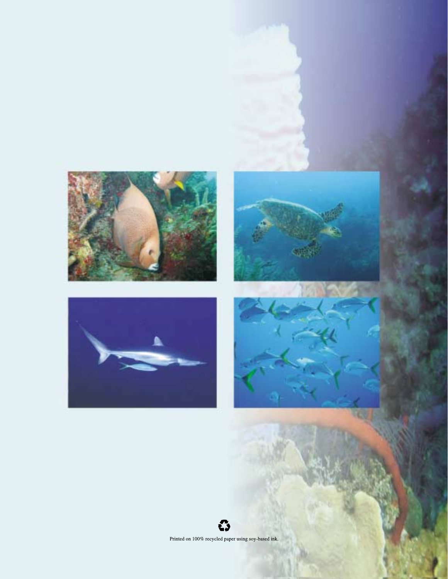